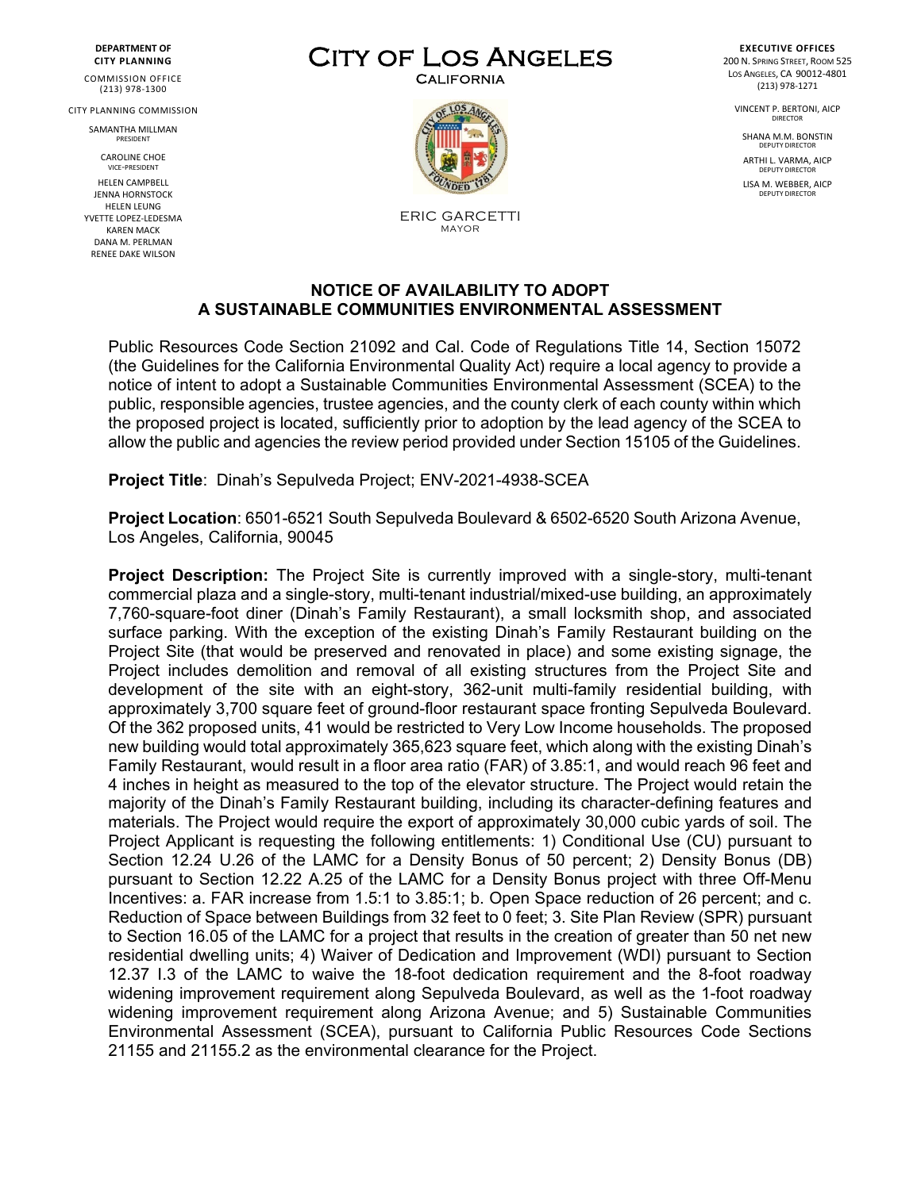**DEPARTMENT OF CITY PLANNING**

COMMISSION OFFICE (213) 978-1300

CITY PLANNING COMMISSION

SAMANTHA MILLMAN PRESIDENT

> CAROLINE CHOE VICE-PRESIDENT

HELEN CAMPBELL JENNA HORNSTOCK HELEN LEUNG YVETTE LOPEZ-LEDESMA KAREN MACK DANA M. PERLMAN RENEE DAKE WILSON

## CITY OF LOS ANGELES



ERIC GARCETTI MAYOR

**EXECUTIVE OFFICES** 200 N. SPRING STREET, ROOM 525 LOS ANGELES, CA 90012-4801 (213) 978-1271

> VINCENT P. BERTONI, AICP DIRECTOR

SHANA M.M. BONSTIN DEPUTY DIRECTO

ARTHI L. VARMA, AICP DEPUTY DIRECTO

LISA M. WEBBER, AICP DEPUTY DIRECTO

## **NOTICE OF AVAILABILITY TO ADOPT A SUSTAINABLE COMMUNITIES ENVIRONMENTAL ASSESSMENT**

Public Resources Code Section 21092 and Cal. Code of Regulations Title 14, Section 15072 (the Guidelines for the California Environmental Quality Act) require a local agency to provide a notice of intent to adopt a Sustainable Communities Environmental Assessment (SCEA) to the public, responsible agencies, trustee agencies, and the county clerk of each county within which the proposed project is located, sufficiently prior to adoption by the lead agency of the SCEA to allow the public and agencies the review period provided under Section 15105 of the Guidelines.

**Project Title**: Dinah's Sepulveda Project; ENV-2021-4938-SCEA

**Project Location**: 6501-6521 South Sepulveda Boulevard & 6502-6520 South Arizona Avenue, Los Angeles, California, 90045

**Project Description:** The Project Site is currently improved with a single-story, multi-tenant commercial plaza and a single-story, multi-tenant industrial/mixed-use building, an approximately 7,760-square-foot diner (Dinah's Family Restaurant), a small locksmith shop, and associated surface parking. With the exception of the existing Dinah's Family Restaurant building on the Project Site (that would be preserved and renovated in place) and some existing signage, the Project includes demolition and removal of all existing structures from the Project Site and development of the site with an eight-story, 362-unit multi-family residential building, with approximately 3,700 square feet of ground-floor restaurant space fronting Sepulveda Boulevard. Of the 362 proposed units, 41 would be restricted to Very Low Income households. The proposed new building would total approximately 365,623 square feet, which along with the existing Dinah's Family Restaurant, would result in a floor area ratio (FAR) of 3.85:1, and would reach 96 feet and 4 inches in height as measured to the top of the elevator structure. The Project would retain the majority of the Dinah's Family Restaurant building, including its character-defining features and materials. The Project would require the export of approximately 30,000 cubic yards of soil. The Project Applicant is requesting the following entitlements: 1) Conditional Use (CU) pursuant to Section 12.24 U.26 of the LAMC for a Density Bonus of 50 percent; 2) Density Bonus (DB) pursuant to Section 12.22 A.25 of the LAMC for a Density Bonus project with three Off-Menu Incentives: a. FAR increase from 1.5:1 to 3.85:1; b. Open Space reduction of 26 percent; and c. Reduction of Space between Buildings from 32 feet to 0 feet; 3. Site Plan Review (SPR) pursuant to Section 16.05 of the LAMC for a project that results in the creation of greater than 50 net new residential dwelling units; 4) Waiver of Dedication and Improvement (WDI) pursuant to Section 12.37 I.3 of the LAMC to waive the 18-foot dedication requirement and the 8-foot roadway widening improvement requirement along Sepulveda Boulevard, as well as the 1-foot roadway widening improvement requirement along Arizona Avenue; and 5) Sustainable Communities Environmental Assessment (SCEA), pursuant to California Public Resources Code Sections 21155 and 21155.2 as the environmental clearance for the Project.